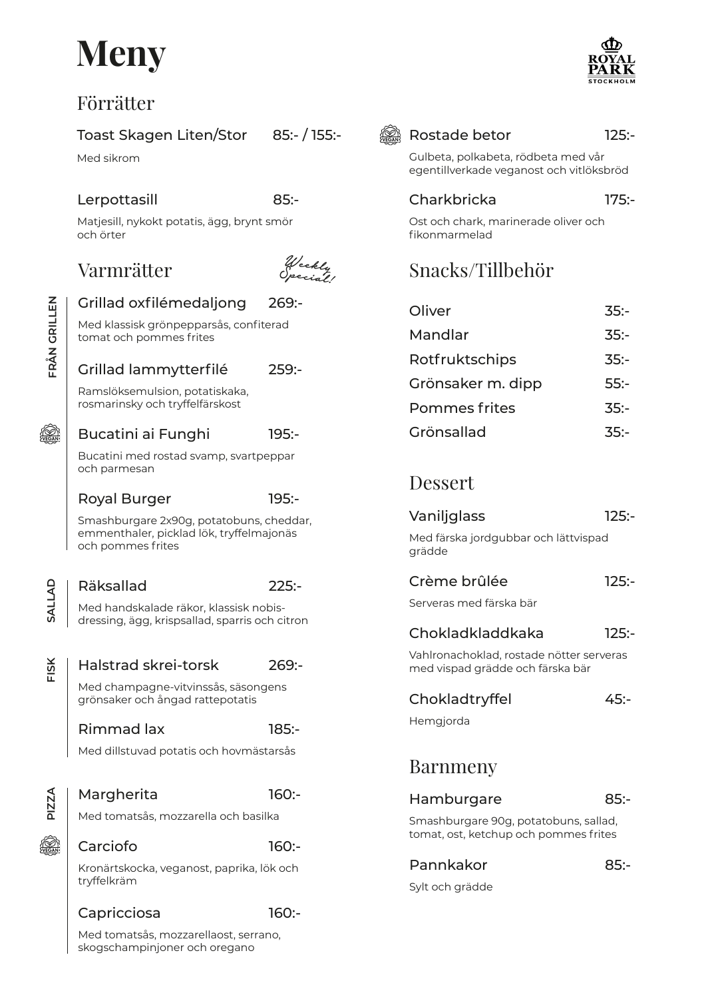## **Meny**

### Förrätter

### Toast Skagen Liten/Stor

Med sikrom

### Lerpottasill

85:-

269:-

225:-

Matjesill, nykokt potatis, ägg, brynt smör och örter

### Varmrätter



85:- / 155:-

Med klassisk grönpepparsås, confiterad tomat och pommes frites

Grillad oxfilémedaljong

#### Grillad lammytterfilé 259:-

Ramslöksemulsion, potatiskaka, rosmarinsky och tryffelfärskost

#### Bucatini ai Funghi 195:-

Bucatini med rostad svamp, svartpeppar och parmesan

#### Royal Burger 195:-

Smashburgare 2x90g, potatobuns, cheddar, emmenthaler, picklad lök, tryffelmajonäs och pommes frites

## Räksallad

**SALLAD**

SALLAD

**FRÅN GRILLEN**

VEGAN

**FRÂN GRILLEN** 

Med handskalade räkor, klassisk nobisdressing, ägg, krispsallad, sparris och citron

**FISK** Halstrad skrei-torsk 269:- Med champagne-vitvinssås, säsongens grönsaker och ångad rattepotatis Rimmad lax 185:- Med dillstuvad potatis och hovmästarsås **PIZZA** Margherita 160:- Med tomatsås, mozzarella och basilka **es 19** Carciofo 160:- Kronärtskocka, veganost, paprika, lök och tryffelkräm

#### Capricciosa 160:-

Med tomatsås, mozzarellaost, serrano, skogschampinjoner och oregano



### 125:-

Gulbeta, polkabeta, rödbeta med vår egentillverkade veganost och vitlöksbröd

#### **Charkbricka** 175:-

Ost och chark, marinerade oliver och fikonmarmelad

### Snacks/Tillbehör

| Oliver            | 35:  |
|-------------------|------|
| Mandlar           | 35:  |
| Rotfruktschips    | 35:  |
| Grönsaker m. dipp | 55:  |
| Pommes frites     | 35:  |
| Grönsallad        | ス5・- |

### Dessert

| Vaniljglass | $125: -$ |
|-------------|----------|
|             |          |

Med färska jordgubbar och lättvispad grädde

| Crème brûlée |  | $125: -$ |
|--------------|--|----------|
|              |  |          |

Serveras med färska bär

#### Chokladkladdkaka  $125 -$

Vahlronachoklad, rostade nötter serveras med vispad grädde och färska bär

### Chokladtryffel 45:-

Hemgjorda

### Barnmeny

| Hamburgare                                                                     | 85:  |
|--------------------------------------------------------------------------------|------|
| Smashburgare 90g, potatobuns, sallad,<br>tomat, ost, ketchup och pommes frites |      |
| Pannkakor                                                                      | 85:- |

Sylt och grädde

85:-